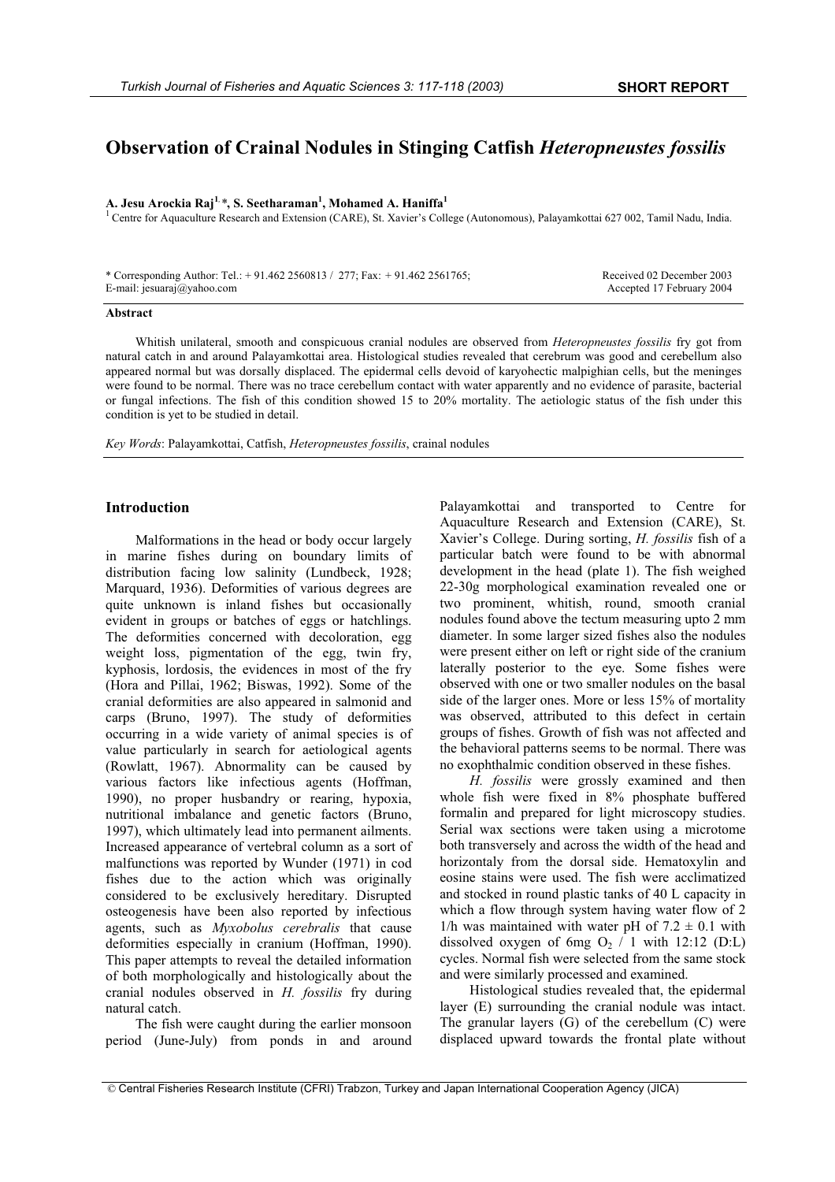# **Observation of Crainal Nodules in Stinging Catfish** *Heteropneustes fossilis*

**A. Jesu Arockia Raj<sup>1</sup>***, \****, S. Seetharaman1 , Mohamed A. Haniffa1**

<sup>1</sup> Centre for Aquaculture Research and Extension (CARE), St. Xavier's College (Autonomous), Palayamkottai 627 002, Tamil Nadu, India.

| * Corresponding Author: Tel.: $+ 91.462 2560813 / 277$ ; Fax: $+ 91.462 2561765$ ; | Received 02 December 2003 |
|------------------------------------------------------------------------------------|---------------------------|
| E-mail: jesuaraj $\omega$ yahoo.com                                                | Accepted 17 February 2004 |

## **Abstract**

Whitish unilateral, smooth and conspicuous cranial nodules are observed from *Heteropneustes fossilis* fry got from natural catch in and around Palayamkottai area. Histological studies revealed that cerebrum was good and cerebellum also appeared normal but was dorsally displaced. The epidermal cells devoid of karyohectic malpighian cells, but the meninges were found to be normal. There was no trace cerebellum contact with water apparently and no evidence of parasite, bacterial or fungal infections. The fish of this condition showed 15 to 20% mortality. The aetiologic status of the fish under this condition is yet to be studied in detail.

*Key Words*: Palayamkottai, Catfish, *Heteropneustes fossilis*, crainal nodules

### **Introduction**

Malformations in the head or body occur largely in marine fishes during on boundary limits of distribution facing low salinity (Lundbeck, 1928; Marquard, 1936). Deformities of various degrees are quite unknown is inland fishes but occasionally evident in groups or batches of eggs or hatchlings. The deformities concerned with decoloration, egg weight loss, pigmentation of the egg, twin fry, kyphosis, lordosis, the evidences in most of the fry (Hora and Pillai, 1962; Biswas, 1992). Some of the cranial deformities are also appeared in salmonid and carps (Bruno, 1997). The study of deformities occurring in a wide variety of animal species is of value particularly in search for aetiological agents (Rowlatt, 1967). Abnormality can be caused by various factors like infectious agents (Hoffman, 1990), no proper husbandry or rearing, hypoxia, nutritional imbalance and genetic factors (Bruno, 1997), which ultimately lead into permanent ailments. Increased appearance of vertebral column as a sort of malfunctions was reported by Wunder (1971) in cod fishes due to the action which was originally considered to be exclusively hereditary. Disrupted osteogenesis have been also reported by infectious agents, such as *Myxobolus cerebralis* that cause deformities especially in cranium (Hoffman, 1990). This paper attempts to reveal the detailed information of both morphologically and histologically about the cranial nodules observed in *H. fossilis* fry during natural catch.

The fish were caught during the earlier monsoon period (June-July) from ponds in and around Palayamkottai and transported to Centre for Aquaculture Research and Extension (CARE), St. Xavier's College. During sorting, *H. fossilis* fish of a particular batch were found to be with abnormal development in the head (plate 1). The fish weighed 22-30g morphological examination revealed one or two prominent, whitish, round, smooth cranial nodules found above the tectum measuring upto 2 mm diameter. In some larger sized fishes also the nodules were present either on left or right side of the cranium laterally posterior to the eye. Some fishes were observed with one or two smaller nodules on the basal side of the larger ones. More or less 15% of mortality was observed, attributed to this defect in certain groups of fishes. Growth of fish was not affected and the behavioral patterns seems to be normal. There was no exophthalmic condition observed in these fishes.

*H. fossilis* were grossly examined and then whole fish were fixed in 8% phosphate buffered formalin and prepared for light microscopy studies. Serial wax sections were taken using a microtome both transversely and across the width of the head and horizontaly from the dorsal side. Hematoxylin and eosine stains were used. The fish were acclimatized and stocked in round plastic tanks of 40 L capacity in which a flow through system having water flow of 2 1/h was maintained with water pH of  $7.2 \pm 0.1$  with dissolved oxygen of 6mg  $O_2$  / 1 with 12:12 (D:L) cycles. Normal fish were selected from the same stock and were similarly processed and examined.

Histological studies revealed that, the epidermal layer (E) surrounding the cranial nodule was intact. The granular layers (G) of the cerebellum (C) were displaced upward towards the frontal plate without

<sup>©</sup> Central Fisheries Research Institute (CFRI) Trabzon, Turkey and Japan International Cooperation Agency (JICA)